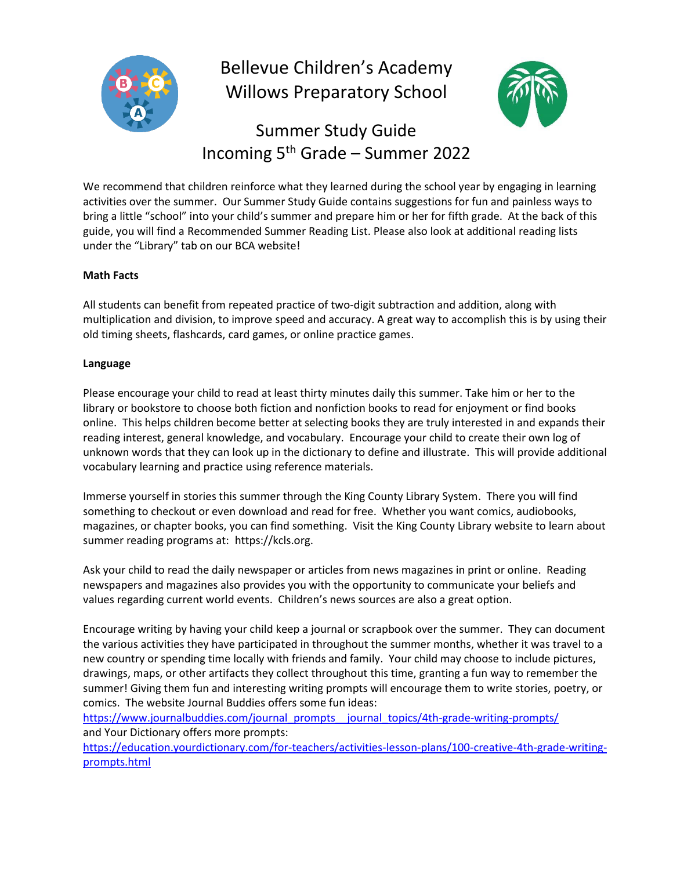

Bellevue Children's Academy Willows Preparatory School



# Summer Study Guide Incoming 5th Grade – Summer 2022

We recommend that children reinforce what they learned during the school year by engaging in learning activities over the summer. Our Summer Study Guide contains suggestions for fun and painless ways to bring a little "school" into your child's summer and prepare him or her for fifth grade. At the back of this guide, you will find a Recommended Summer Reading List. Please also look at additional reading lists under the "Library" tab on our BCA website!

## **Math Facts**

All students can benefit from repeated practice of two-digit subtraction and addition, along with multiplication and division, to improve speed and accuracy. A great way to accomplish this is by using their old timing sheets, flashcards, card games, or online practice games.

## **Language**

Please encourage your child to read at least thirty minutes daily this summer. Take him or her to the library or bookstore to choose both fiction and nonfiction books to read for enjoyment or find books online. This helps children become better at selecting books they are truly interested in and expands their reading interest, general knowledge, and vocabulary. Encourage your child to create their own log of unknown words that they can look up in the dictionary to define and illustrate. This will provide additional vocabulary learning and practice using reference materials.

Immerse yourself in stories this summer through the King County Library System. There you will find something to checkout or even download and read for free. Whether you want comics, audiobooks, magazines, or chapter books, you can find something. Visit the King County Library website to learn about summer reading programs at: https://kcls.org.

Ask your child to read the daily newspaper or articles from news magazines in print or online. Reading newspapers and magazines also provides you with the opportunity to communicate your beliefs and values regarding current world events. Children's news sources are also a great option.

Encourage writing by having your child keep a journal or scrapbook over the summer. They can document the various activities they have participated in throughout the summer months, whether it was travel to a new country or spending time locally with friends and family. Your child may choose to include pictures, drawings, maps, or other artifacts they collect throughout this time, granting a fun way to remember the summer! Giving them fun and interesting writing prompts will encourage them to write stories, poetry, or comics. The website Journal Buddies offers some fun ideas:

[https://www.journalbuddies.com/journal\\_prompts\\_\\_journal\\_topics/4th-grade-writing-prompts/](https://www.journalbuddies.com/journal_prompts__journal_topics/4th-grade-writing-prompts/) and Your Dictionary offers more prompts:

[https://education.yourdictionary.com/for-teachers/activities-lesson-plans/100-creative-4th-grade-writing](https://education.yourdictionary.com/for-teachers/activities-lesson-plans/100-creative-4th-grade-writing-prompts.html)[prompts.html](https://education.yourdictionary.com/for-teachers/activities-lesson-plans/100-creative-4th-grade-writing-prompts.html)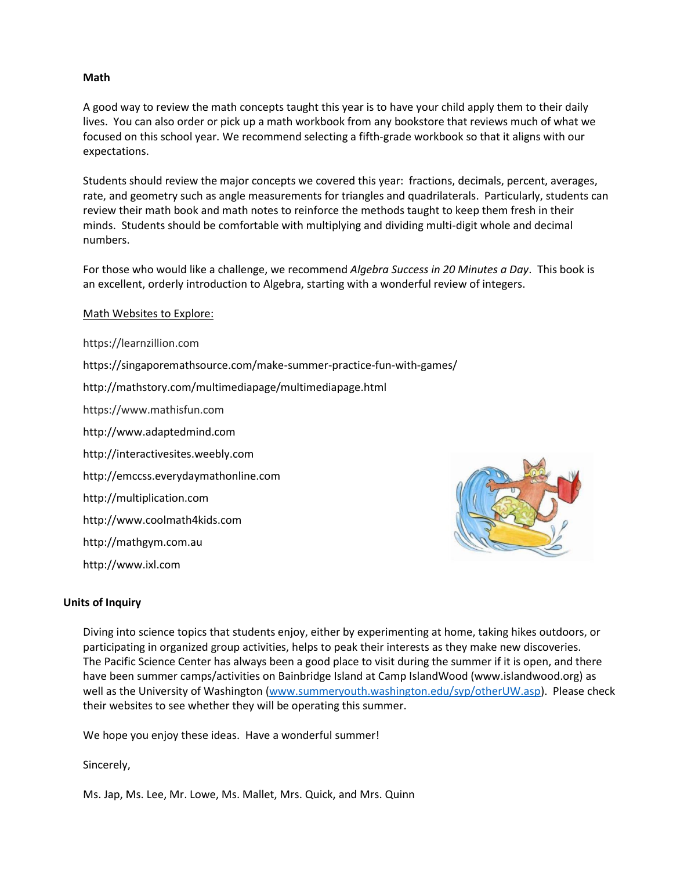### **Math**

A good way to review the math concepts taught this year is to have your child apply them to their daily lives. You can also order or pick up a math workbook from any bookstore that reviews much of what we focused on this school year. We recommend selecting a fifth-grade workbook so that it aligns with our expectations.

Students should review the major concepts we covered this year: fractions, decimals, percent, averages, rate, and geometry such as angle measurements for triangles and quadrilaterals. Particularly, students can review their math book and math notes to reinforce the methods taught to keep them fresh in their minds. Students should be comfortable with multiplying and dividing multi-digit whole and decimal numbers.

For those who would like a challenge, we recommend *Algebra Success in 20 Minutes a Day*. This book is an excellent, orderly introduction to Algebra, starting with a wonderful review of integers.

### Math Websites to Explore:

https://learnzillion.com https://singaporemathsource.com/make-summer-practice-fun-with-games/ http://mathstory.com/multimediapage/multimediapage.html https://www.mathisfun.com [http://www.adaptedmind.com](http://www.adaptedmind.com/) [http://interactivesites.weebly.com](http://interactivesites.weebly.com/) http://emccss.everydaymathonline.com http://multiplication.com http://www.coolmath4kids.com http://mathgym.com.au [http://www.ixl.com](http://www.ixl.com/)



#### **Units of Inquiry**

Diving into science topics that students enjoy, either by experimenting at home, taking hikes outdoors, or participating in organized group activities, helps to peak their interests as they make new discoveries. The Pacific Science Center has always been a good place to visit during the summer if it is open, and there have been summer camps/activities on Bainbridge Island at Camp IslandWood (www.islandwood.org) as well as the University of Washington [\(www.summeryouth.washington.edu/syp/otherUW.asp\)](http://www.summeryouth.washington.edu/syp/otherUW.asp). Please check their websites to see whether they will be operating this summer.

We hope you enjoy these ideas. Have a wonderful summer!

Sincerely,

Ms. Jap, Ms. Lee, Mr. Lowe, Ms. Mallet, Mrs. Quick, and Mrs. Quinn